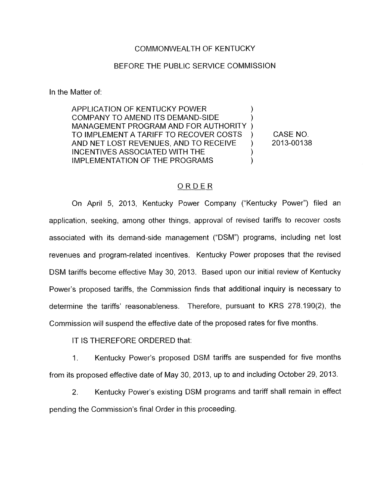### COMMONWEALTH OF KENTUCKY

### BEFORE THE PUBLIC SERVICE COMMISSION

In the Matter of:

**APPLICATION OF KENTUCKY POWER** COMPANY TO AMEND ITS DEMAND-SIDE MANAGEMENT PROGRAM AND FOR AUTHORITY ) TO IMPLEMENT A TARIFF TO RECOVER COSTS ) CASE NO. AND NET LOST REVENUES, AND TO RECEIVE ) INCENTIVES ASSOCIATED WITH THE 1 IMPLEMENTATION OF THE PROGRAMS

2013-00138

### ORDER

On April 5, 2013, Kentucky Power Company ("Kentucky Power") filed an application, seeking, among other things, approval of revised tariffs to recover costs associated with its demand-side management ("DSM") programs, including net lost revenues and program-related incentives. Kentucky Power proposes that the revised DSM tariffs become effective May 30, 2013. Based upon our initial review of Kentucky Power's proposed tariffs, the Commission finds that additional inquiry is necessary to determine the tariffs' reasonableness. Therefore, pursuant to KRS 278.190(2), the Commission will suspend the effective date of the proposed rates for five months.

IT IS THEREFORE ORDERED that:

1. Kentucky Power's proposed DSM tariffs are suspended for five months from its proposed effective date of May 30, 2013, up to and including October 29, 2013.

2. Kentucky Power's existing DSM programs and tariff shall remain in effect pending the Commission's final Order in this proceeding.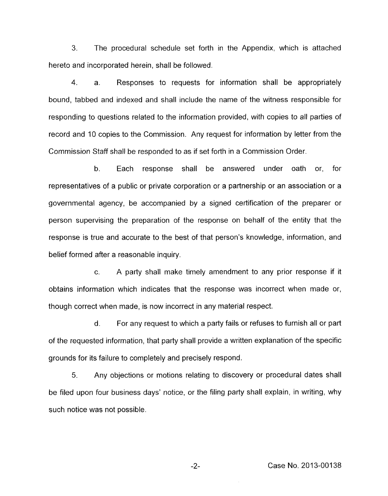3. The procedural schedule set forth in the Appendix, which is attached hereto and incorporated herein, shall be followed.

4. a. Responses to requests for information shall be appropriately bound, tabbed and indexed and shall include the name of the witness responsible for responding to questions related to the information provided, with copies to all parties of record and 10 copies to the Commission. Any request for information by letter from the Commission Staff shall be responded to as if set forth in a Commission Order.

b. Each response shall be answered under oath or, for representatives of a public or private corporation or a partnership or an association or a governmental agency, be accompanied by a signed certification of the preparer or person supervising the preparation of the response on behalf of the entity that the response is true and accurate to the best of that person's knowledge, information, and belief formed after a reasonable inquiry.

c. A party shall make timely amendment to any prior response if it obtains information which indicates that the response was incorrect when made or, though correct when made, is now incorrect in any material respect.

d. For any request to which a party fails or refuses to furnish all or part of the requested information, that party shall provide a written explanation of the specific grounds for its failure to completely and precisely respond.

5. Any objections or motions relating to discovery or procedural dates shall be filed upon four business days' notice, or the filing party shall explain, in writing, why such notice was not possible.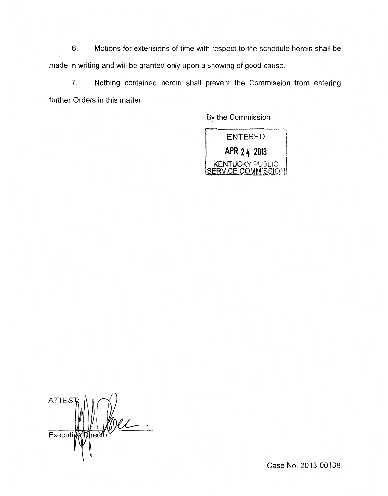6. Motions for extensions of time with respect to the schedule herein shall be made in writing and will be granted only upon a showing of good cause.

7. Nothing contained herein shall prevent the Commission from entering further Orders in this matter.

By the Commission

ENTERED **24 2013<br>
22 KENTUCKY PUBLIC<br>
<u>SERVICE COMMISSION</u>** 

**ATTES** Prediction Executiv

Case No. 2013-00138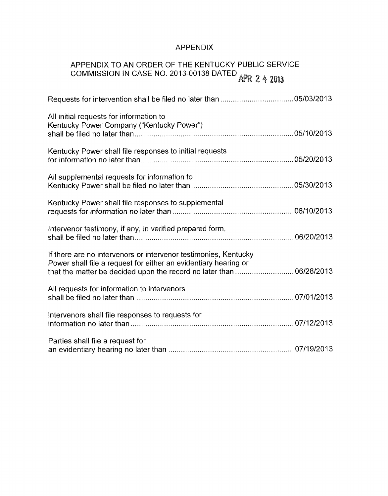## APPENDIX

# APPENDIX TO AN ORDER OF THE KENTUCKY PUBLIC SERVICE COMMISSION IN CASE NO. 2013-00138 DATED

| All initial requests for information to<br>Kentucky Power Company ("Kentucky Power")                                                                                                                       |  |
|------------------------------------------------------------------------------------------------------------------------------------------------------------------------------------------------------------|--|
| Kentucky Power shall file responses to initial requests                                                                                                                                                    |  |
| All supplemental requests for information to                                                                                                                                                               |  |
| Kentucky Power shall file responses to supplemental                                                                                                                                                        |  |
| Intervenor testimony, if any, in verified prepared form,                                                                                                                                                   |  |
| If there are no intervenors or intervenor testimonies, Kentucky<br>Power shall file a request for either an evidentiary hearing or<br>that the matter be decided upon the record no later than  06/28/2013 |  |
| All requests for information to Intervenors                                                                                                                                                                |  |
| Intervenors shall file responses to requests for                                                                                                                                                           |  |
| Parties shall file a request for                                                                                                                                                                           |  |